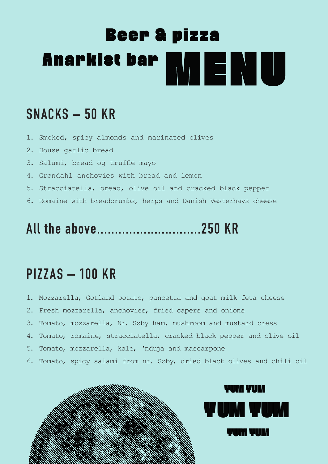# **Beer & pizza** Anarkist bar MENU

#### **SNACKS – 50 KR**

- 1. Smoked, spicy almonds and marinated olives
- 2. House garlic bread
- 3. Salumi, bread og truffle mayo
- 4. Grøndahl anchovies with bread and lemon
- 5. Stracciatella, bread, olive oil and cracked black pepper
- 6. Romaine with breadcrumbs, herps and Danish Vesterhavs cheese

## **All the above.............................250 KR**

#### **PIZZAS – 100 KR**

- 1. Mozzarella, Gotland potato, pancetta and goat milk feta cheese
- 2. Fresh mozzarella, anchovies, fried capers and onions
- 3. Tomato, mozzarella, Nr. Søby ham, mushroom and mustard cress
- 4. Tomato, romaine, stracciatella, cracked black pepper and olive oil
- 5. Tomato, mozzarella, kale, 'nduja and mascarpone
- 6. Tomato, spicy salami from nr. Søby, dried black olives and chili oil